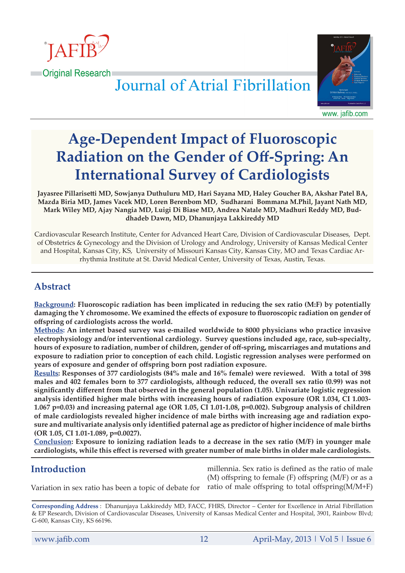

**Containal Research** 

**Journal of Atrial Fibrillation** 



www. jafib.com

# **Age-Dependent Impact of Fluoroscopic Radiation on the Gender of Off-Spring: An International Survey of Cardiologists**

**Jayasree Pillarisetti MD, Sowjanya Duthuluru MD, Hari Sayana MD, Haley Goucher BA, Akshar Patel BA, Mazda Biria MD, James Vacek MD, Loren Berenbom MD, Sudharani Bommana M.Phil, Jayant Nath MD, Mark Wiley MD, Ajay Nangia MD, Luigi Di Biase MD, Andrea Natale MD, Madhuri Reddy MD, Buddhadeb Dawn, MD, Dhanunjaya Lakkireddy MD**

Cardiovascular Research Institute, Center for Advanced Heart Care, Division of Cardiovascular Diseases, Dept. of Obstetrics & Gynecology and the Division of Urology and Andrology, University of Kansas Medical Center and Hospital, Kansas City, KS, University of Missouri Kansas City, Kansas City, MO and Texas Cardiac Arrhythmia Institute at St. David Medical Center, University of Texas, Austin, Texas.

# **Abstract**

**Background: Fluoroscopic radiation has been implicated in reducing the sex ratio (M:F) by potentially damaging the Y chromosome. We examined the effects of exposure to fluoroscopic radiation on gender of offspring of cardiologists across the world.**

**Methods: An internet based survey was e-mailed worldwide to 8000 physicians who practice invasive electrophysiology and/or interventional cardiology. Survey questions included age, race, sub-specialty, hours of exposure to radiation, number of children, gender of off-spring, miscarriages and mutations and exposure to radiation prior to conception of each child. Logistic regression analyses were performed on years of exposure and gender of offspring born post radiation exposure.**

**Results: Responses of 377 cardiologists (84% male and 16% female) were reviewed. With a total of 398 males and 402 females born to 377 cardiologists, although reduced, the overall sex ratio (0.99) was not significantly different from that observed in the general population (1.05). Univariate logistic regression analysis identified higher male births with increasing hours of radiation exposure (OR 1.034, CI 1.003- 1.067 p=0.03) and increasing paternal age (OR 1.05, CI 1.01-1.08, p=0.002). Subgroup analysis of children of male cardiologists revealed higher incidence of male births with increasing age and radiation exposure and multivariate analysis only identified paternal age as predictor of higher incidence of male births (OR 1.05, CI 1.01-1.089, p=0.0027).**

**Conclusion: Exposure to ionizing radiation leads to a decrease in the sex ratio (M/F) in younger male cardiologists, while this effect is reversed with greater number of male births in older male cardiologists.**

# **Introduction**

millennia. Sex ratio is defined as the ratio of male (M) offspring to female (F) offspring (M/F) or as a ratio of male offspring to total offspring(M/M+F)

Variation in sex ratio has been a topic of debate for

**Corresponding Address** : Dhanunjaya Lakkireddy MD, FACC, FHRS, Director – Center for Excellence in Atrial Fibrillation & EP Research, Division of Cardiovascular Diseases, University of Kansas Medical Center and Hospital, 3901, Rainbow Blvd; G-600, Kansas City, KS 66196.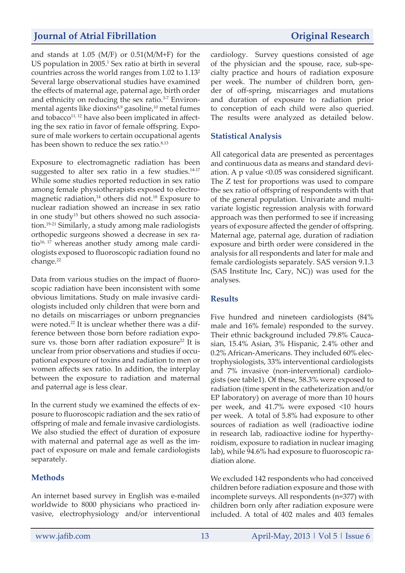# **Journal of Atrial Fibrillation** *Original Research*

and stands at 1.05 (M/F) or 0.51(M/M+F) for the US population in 2005.<sup>1</sup> Sex ratio at birth in several countries across the world ranges from 1.02 to 1.132 Several large observational studies have examined the effects of maternal age, paternal age, birth order and ethnicity on reducing the sex ratio.<sup>3-7</sup> Environmental agents like dioxins $8,9$  gasoline,<sup>10</sup> metal fumes and tobacco $11, 12$  have also been implicated in affecting the sex ratio in favor of female offspring. Exposure of male workers to certain occupational agents has been shown to reduce the sex ratio.<sup>8,13</sup>

Exposure to electromagnetic radiation has been suggested to alter sex ratio in a few studies. $14-17$ While some studies reported reduction in sex ratio among female physiotherapists exposed to electromagnetic radiation, $14$  others did not.<sup>18</sup> Exposure to nuclear radiation showed an increase in sex ratio in one study<sup>15</sup> but others showed no such association.19-21 Similarly, a study among male radiologists orthopedic surgeons showed a decrease in sex ratio<sup>16, 17</sup> whereas another study among male cardiologists exposed to fluoroscopic radiation found no change.<sup>22</sup>

Data from various studies on the impact of fluoroscopic radiation have been inconsistent with some obvious limitations. Study on male invasive cardiologists included only children that were born and no details on miscarriages or unborn pregnancies were noted. $^{22}$  It is unclear whether there was a difference between those born before radiation exposure vs. those born after radiation exposure<sup>22</sup> It is unclear from prior observations and studies if occupational exposure of toxins and radiation to men or women affects sex ratio. In addition, the interplay between the exposure to radiation and maternal and paternal age is less clear.

In the current study we examined the effects of exposure to fluoroscopic radiation and the sex ratio of offspring of male and female invasive cardiologists. We also studied the effect of duration of exposure with maternal and paternal age as well as the impact of exposure on male and female cardiologists separately.

#### **Methods**

An internet based survey in English was e-mailed worldwide to 8000 physicians who practiced invasive, electrophysiology and/or interventional cardiology. Survey questions consisted of age of the physician and the spouse, race, sub-specialty practice and hours of radiation exposure per week. The number of children born, gender of off-spring, miscarriages and mutations and duration of exposure to radiation prior to conception of each child were also queried. The results were analyzed as detailed below.

#### **Statistical Analysis**

All categorical data are presented as percentages and continuous data as means and standard deviation. A p value <0.05 was considered significant. The Z test for proportions was used to compare the sex ratio of offspring of respondents with that of the general population. Univariate and multivariate logistic regression analysis with forward approach was then performed to see if increasing years of exposure affected the gender of offspring. Maternal age, paternal age, duration of radiation exposure and birth order were considered in the analysis for all respondents and later for male and female cardiologists separately. SAS version 9.1.3 (SAS Institute Inc, Cary, NC)) was used for the analyses.

#### **Results**

Five hundred and nineteen cardiologists (84% male and 16% female) responded to the survey. Their ethnic background included 79.8% Caucasian, 15.4% Asian, 3% Hispanic, 2.4% other and 0.2% African-Americans. They included 60% electrophysiologists, 33% interventional cardiologists and 7% invasive (non-interventional) cardiologists (see table1). Of these, 58.3% were exposed to radiation (time spent in the catheterization and/or EP laboratory) on average of more than 10 hours per week, and 41.7% were exposed <10 hours per week. A total of 5.8% had exposure to other sources of radiation as well (radioactive iodine in research lab, radioactive iodine for hyperthyroidism, exposure to radiation in nuclear imaging lab), while 94.6% had exposure to fluoroscopic radiation alone.

We excluded 142 respondents who had conceived children before radiation exposure and those with incomplete surveys. All respondents (n=377) with children born only after radiation exposure were included. A total of 402 males and 403 females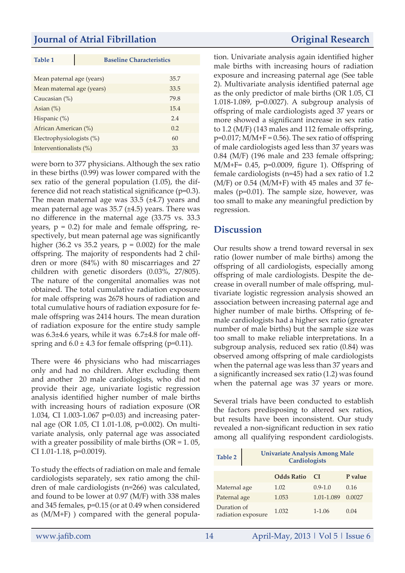## **Journal of Atrial Fibrillation** *Original Research*

**Baseline Characteristics** 

| Mean paternal age (years) | 35.7 |
|---------------------------|------|
| Mean maternal age (years) | 33.5 |
| Caucasian $(\%)$          | 79.8 |
| Asian $(\%)$              | 15.4 |
| Hispanic $(\%)$           | 2.4  |
| African American (%)      | 0.2  |
| Electrophysiologists (%)  | 60   |
| Interventionalists (%)    | 33   |

were born to 377 physicians. Although the sex ratio in these births (0.99) was lower compared with the sex ratio of the general population (1.05), the difference did not reach statistical significance (p=0.3). The mean maternal age was 33.5 (±4.7) years and mean paternal age was 35.7 (±4.5) years. There was no difference in the maternal age (33.75 vs. 33.3 years,  $p = 0.2$ ) for male and female offspring, respectively, but mean paternal age was significantly higher (36.2 vs 35.2 years,  $p = 0.002$ ) for the male offspring. The majority of respondents had 2 children or more (84%) with 80 miscarriages and 27 children with genetic disorders (0.03%, 27/805). The nature of the congenital anomalies was not obtained. The total cumulative radiation exposure for male offspring was 2678 hours of radiation and total cumulative hours of radiation exposure for female offspring was 2414 hours. The mean duration of radiation exposure for the entire study sample was 6.3±4.6 years, while it was 6.7±4.8 for male offspring and  $6.0 \pm 4.3$  for female offspring (p=0.11).

There were 46 physicians who had miscarriages only and had no children. After excluding them and another 20 male cardiologists, who did not provide their age, univariate logistic regression analysis identified higher number of male births with increasing hours of radiation exposure (OR 1.034, CI 1.003-1.067 p=0.03) and increasing paternal age (OR 1.05, CI 1.01-1.08, p=0.002). On multivariate analysis, only paternal age was associated with a greater possibility of male births  $(OR = 1.05,$ CI 1.01-1.18, p=0.0019).

To study the effects of radiation on male and female cardiologists separately, sex ratio among the children of male cardiologists (n=266) was calculated, and found to be lower at 0.97 (M/F) with 338 males and 345 females, p=0.15 (or at 0.49 when considered as (M/M+F) ) compared with the general popula-

tion. Univariate analysis again identified higher male births with increasing hours of radiation exposure and increasing paternal age (See table 2). Multivariate analysis identified paternal age as the only predictor of male births (OR 1.05, CI 1.018-1.089, p=0.0027). A subgroup analysis of offspring of male cardiologists aged 37 years or more showed a significant increase in sex ratio to 1.2 (M/F) (143 males and 112 female offspring,  $p=0.017$ ; M/M+F = 0.56). The sex ratio of offspring of male cardiologists aged less than 37 years was 0.84 (M/F) (196 male and 233 female offspring; M/M+F= 0.45, p=0.0009, figure 1). Offspring of female cardiologists (n=45) had a sex ratio of 1.2  $(M/F)$  or 0.54  $(M/M+F)$  with 45 males and 37 females (p=0.01). The sample size, however, was too small to make any meaningful prediction by regression.

## **Discussion**

Our results show a trend toward reversal in sex ratio (lower number of male births) among the offspring of all cardiologists, especially among offspring of male cardiologists. Despite the decrease in overall number of male offspring, multivariate logistic regression analysis showed an association between increasing paternal age and higher number of male births. Offspring of female cardiologists had a higher sex ratio (greater number of male births) but the sample size was too small to make reliable interpretations. In a subgroup analysis, reduced sex ratio (0.84) was observed among offspring of male cardiologists when the paternal age was less than 37 years and a significantly increased sex ratio (1.2) was found when the paternal age was 37 years or more.

Several trials have been conducted to establish the factors predisposing to altered sex ratios, but results have been inconsistent. Our study revealed a non-significant reduction in sex ratio among all qualifying respondent cardiologists.

| Table 2                           | <b>Univariate Analysis Among Male</b><br><b>Cardiologists</b> |             |         |
|-----------------------------------|---------------------------------------------------------------|-------------|---------|
|                                   | <b>Odds Ratio</b>                                             | <b>C</b> T  | P value |
| Maternal age                      | 1.02                                                          | $0.9 - 1.0$ | 0.16    |
| Paternal age                      | 1.053                                                         | 1.01-1.089  | 0.0027  |
| Duration of<br>radiation exposure | 1.032                                                         | $1 - 1.06$  | 0.04    |

www.jafib.com 14 April-May, 2013 | Vol 5 | Issue 6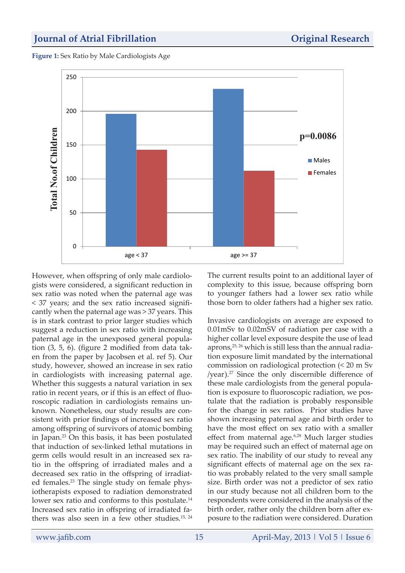#### **Journal of Atrial Fibrillation** *Original Research*

**Figure 1:** Sex Ratio by Male Cardiologists Age



However, when offspring of only male cardiologists were considered, a significant reduction in sex ratio was noted when the paternal age was < 37 years; and the sex ratio increased significantly when the paternal age was > 37 years. This is in stark contrast to prior larger studies which suggest a reduction in sex ratio with increasing paternal age in the unexposed general population (3, 5, 6). (figure 2 modified from data taken from the paper by Jacobsen et al. ref 5). Our study, however, showed an increase in sex ratio in cardiologists with increasing paternal age. Whether this suggests a natural variation in sex ratio in recent years, or if this is an effect of fluoroscopic radiation in cardiologists remains unknown. Nonetheless, our study results are consistent with prior findings of increased sex ratio among offspring of survivors of atomic bombing in Japan.<sup>23</sup> On this basis, it has been postulated that induction of sex-linked lethal mutations in germ cells would result in an increased sex ratio in the offspring of irradiated males and a decreased sex ratio in the offspring of irradiated females.23 The single study on female physiotherapists exposed to radiation demonstrated lower sex ratio and conforms to this postulate.<sup>14</sup> Increased sex ratio in offspring of irradiated fathers was also seen in a few other studies.<sup>15, 24</sup>

The current results point to an additional layer of complexity to this issue, because offspring born to younger fathers had a lower sex ratio while those born to older fathers had a higher sex ratio.

Invasive cardiologists on average are exposed to 0.01mSv to 0.02mSV of radiation per case with a higher collar level exposure despite the use of lead aprons,<sup>25, 26</sup> which is still less than the annual radiation exposure limit mandated by the international commission on radiological protection (< 20 m Sv /year).<sup>27</sup> Since the only discernible difference of these male cardiologists from the general population is exposure to fluoroscopic radiation, we postulate that the radiation is probably responsible for the change in sex ratios. Prior studies have shown increasing paternal age and birth order to have the most effect on sex ratio with a smaller effect from maternal age.<sup>6,28</sup> Much larger studies may be required such an effect of maternal age on sex ratio. The inability of our study to reveal any significant effects of maternal age on the sex ratio was probably related to the very small sample size. Birth order was not a predictor of sex ratio in our study because not all children born to the respondents were considered in the analysis of the birth order, rather only the children born after exposure to the radiation were considered. Duration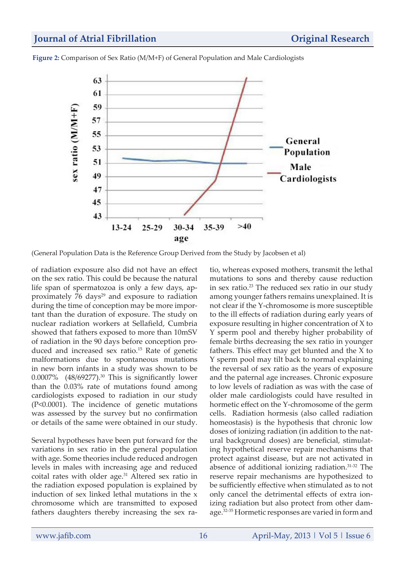

**Figure 2:** Comparison of Sex Ratio (M/M+F) of General Population and Male Cardiologists

(General Population Data is the Reference Group Derived from the Study by Jacobsen et al)

of radiation exposure also did not have an effect on the sex ratio. This could be because the natural life span of spermatozoa is only a few days, approximately  $76 \text{ days}^{29}$  and exposure to radiation during the time of conception may be more important than the duration of exposure. The study on nuclear radiation workers at Sellafield, Cumbria showed that fathers exposed to more than 10mSV of radiation in the 90 days before conception produced and increased sex ratio.<sup>15</sup> Rate of genetic malformations due to spontaneous mutations in new born infants in a study was shown to be 0.0007% (48/69277).<sup>30</sup> This is significantly lower than the 0.03% rate of mutations found among cardiologists exposed to radiation in our study (P<0.0001). The incidence of genetic mutations was assessed by the survey but no confirmation or details of the same were obtained in our study.

Several hypotheses have been put forward for the variations in sex ratio in the general population with age. Some theories include reduced androgen levels in males with increasing age and reduced coital rates with older age.<sup>31</sup> Altered sex ratio in the radiation exposed population is explained by induction of sex linked lethal mutations in the x chromosome which are transmitted to exposed fathers daughters thereby increasing the sex ratio, whereas exposed mothers, transmit the lethal mutations to sons and thereby cause reduction in sex ratio. $23$  The reduced sex ratio in our study among younger fathers remains unexplained. It is not clear if the Y-chromosome is more susceptible to the ill effects of radiation during early years of exposure resulting in higher concentration of X to Y sperm pool and thereby higher probability of female births decreasing the sex ratio in younger fathers. This effect may get blunted and the X to Y sperm pool may tilt back to normal explaining the reversal of sex ratio as the years of exposure and the paternal age increases. Chronic exposure to low levels of radiation as was with the case of older male cardiologists could have resulted in hormetic effect on the Y-chromosome of the germ cells. Radiation hormesis (also called radiation homeostasis) is the hypothesis that chronic low doses of ionizing radiation (in addition to the natural background doses) are beneficial, stimulating hypothetical reserve repair mechanisms that protect against disease, but are not activated in absence of additional ionizing radiation.31-32 The reserve repair mechanisms are hypothesized to be sufficiently effective when stimulated as to not only cancel the detrimental effects of extra ionizing radiation but also protect from other damage.32-35 Hormetic responses are varied in form and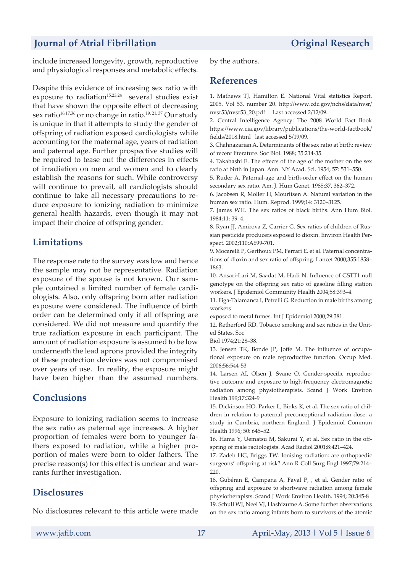# *Journal of Atrial Fibrillation* **<b>***Original Research*

include increased longevity, growth, reproductive and physiological responses and metabolic effects.

Despite this evidence of increasing sex ratio with exposure to radiation<sup>15,23,24</sup> several studies exist that have shown the opposite effect of decreasing sex ratio<sup>16,17,36</sup> or no change in ratio.<sup>19, 21, 37</sup> Our study is unique in that it attempts to study the gender of offspring of radiation exposed cardiologists while accounting for the maternal age, years of radiation and paternal age. Further prospective studies will be required to tease out the differences in effects of irradiation on men and women and to clearly establish the reasons for such. While controversy will continue to prevail, all cardiologists should continue to take all necessary precautions to reduce exposure to ionizing radiation to minimize general health hazards, even though it may not impact their choice of offspring gender.

# **Limitations**

The response rate to the survey was low and hence the sample may not be representative. Radiation exposure of the spouse is not known. Our sample contained a limited number of female cardiologists. Also, only offspring born after radiation exposure were considered. The influence of birth order can be determined only if all offspring are considered. We did not measure and quantify the true radiation exposure in each participant. The amount of radiation exposure is assumed to be low underneath the lead aprons provided the integrity of these protection devices was not compromised over years of use. In reality, the exposure might have been higher than the assumed numbers.

# **Conclusions**

Exposure to ionizing radiation seems to increase the sex ratio as paternal age increases. A higher proportion of females were born to younger fathers exposed to radiation, while a higher proportion of males were born to older fathers. The precise reason(s) for this effect is unclear and warrants further investigation.

# **Disclosures**

No disclosures relevant to this article were made

by the authors.

## **References**

1. Mathews TJ, Hamilton E. National Vital statistics Report. 2005. Vol 53, number 20. http://www.cdc.gov/nchs/data/nvsr/ nvsr53/nvsr53\_20.pdf Last accessed 2/12/09.

2. Central Intelligence Agency: The 2008 World Fact Book https://www.cia.gov/library/publications/the-world-factbook/ fields/2018.html last accessed 5/19/09.

3. Chahnazarian A. Determinants of the sex ratio at birth: review of recent literature. Soc Biol. 1988; 35:214-35.

4. Takahashi E. The effects of the age of the mother on the sex ratio at birth in Japan. Ann. NY Acad. Sci. 1954; 57: 531–550.

5. Ruder A. Paternal-age and birth-order effect on the human secondary sex ratio. Am. J. Hum Genet. 1985;37, 362–372.

6. Jacobsen R, Moller H, Mouritsen A. Natural variation in the human sex ratio. Hum. Reprod. 1999;14: 3120–3125.

7. James WH. The sex ratios of black births. Ann Hum Biol. 1984;11: 39–4.

8. Ryan JJ, Amirova Z, Carrier G. Sex ratios of children of Russian pesticide producers exposed to dioxin. Environ Health Perspect. 2002;110:A699-701.

9. Mocarelli P, Gerthoux PM, Ferrari E, et al. Paternal concentrations of dioxin and sex ratio of offspring. Lancet 2000;355:1858– 1863.

10. Ansari-Lari M, Saadat M, Hadi N. Influence of GSTT1 null genotype on the offspring sex ratio of gasoline filling station workers. J Epidemiol Community Health 2004;58:393–4.

11. Figa-Talamanca I, Petrelli G. Reduction in male births among workers

exposed to metal fumes. Int J Epidemiol 2000;29:381.

12. Retherford RD. Tobacco smoking and sex ratios in the United States. Soc

Biol 1974;21:28–38.

13. Jensen TK, Bonde JP, Joffe M. The influence of occupational exposure on male reproductive function. Occup Med. 2006;56:544-53

14. Larsen AI, Olsen J, Svane O. Gender-specific reproductive outcome and exposure to high-frequency electromagnetic radiation among physiotherapists. Scand J Work Environ Health.199;17:324-9

15. Dickinson HO, Parker L, Binks K, et al. The sex ratio of children in relation to paternal preconceptional radiation dose: a study in Cumbria, northern England. J Epidemiol Commun Health 1996; 50: 645–52.

16. Hama Y, Uematsu M, Sakurai Y, et al. Sex ratio in the offspring of male radiologists. Acad Radiol 2001;8:421–424.

17. Zadeh HG, Briggs TW. Ionising radiation: are orthopaedic surgeons' offspring at risk? Ann R Coll Surg Engl 1997;79:214– 220.

18. Gubéran E, Campana A, Faval P, , et al. Gender ratio of offspring and exposure to shortwave radiation among female physiotherapists. Scand J Work Environ Health. 1994; 20:345-8 19. Schull WJ, Neel VJ, Hashizume A. Some further observations

on the sex ratio among infants born to survivors of the atomic